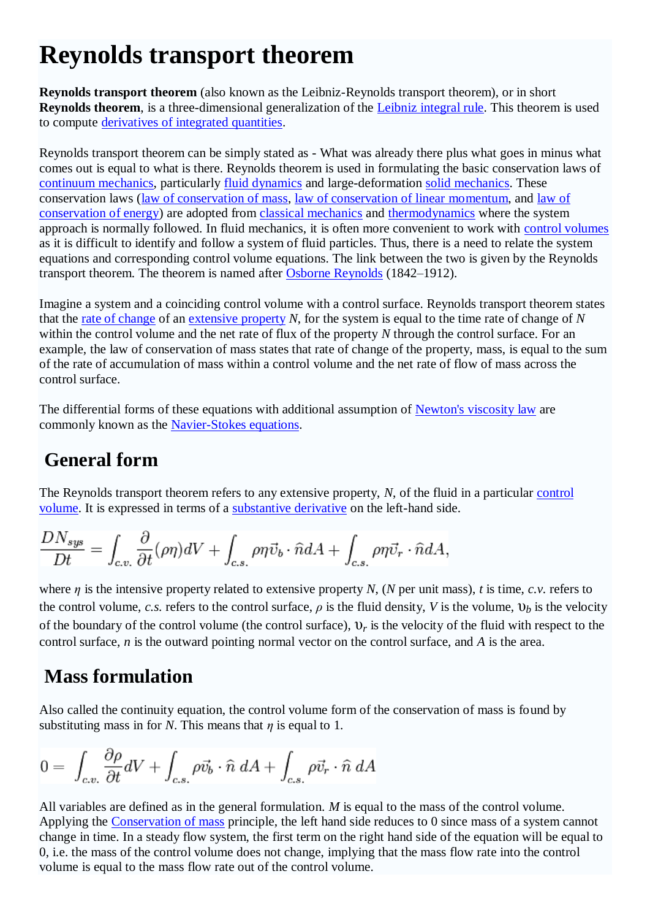# **Reynolds transport theorem**

**Reynolds transport theorem** (also known as the Leibniz-Reynolds transport theorem), or in short **Reynolds theorem**, is a three-dimensional generalization of the [Leibniz integral rule.](http://en.wikipedia.org/wiki/Leibniz_integral_rule) This theorem is used to compute [derivatives of integrated quantities.](http://en.wikipedia.org/wiki/Differentiation_under_the_integral_sign)

Reynolds transport theorem can be simply stated as - What was already there plus what goes in minus what comes out is equal to what is there. Reynolds theorem is used in formulating the basic conservation laws of [continuum mechanics,](http://en.wikipedia.org/wiki/Continuum_mechanics) particularly [fluid dynamics](http://en.wikipedia.org/wiki/Fluid_dynamics) and large-deformation [solid mechanics.](http://en.wikipedia.org/wiki/Solid_mechanics) These conservation laws [\(law of conservation of mass,](http://en.wikipedia.org/wiki/Law_of_conservation_of_mass) [law of conservation of linear momentum,](http://en.wikipedia.org/wiki/Newton%27s_laws_of_motion) and [law of](http://en.wikipedia.org/wiki/First_law_of_thermodynamics)  [conservation of energy\)](http://en.wikipedia.org/wiki/First_law_of_thermodynamics) are adopted from [classical mechanics](http://en.wikipedia.org/wiki/Classical_mechanics) and [thermodynamics](http://en.wikipedia.org/wiki/Thermodynamics) where the system approach is normally followed. In fluid mechanics, it is often more convenient to work with [control volumes](http://en.wikipedia.org/wiki/Control_volume) as it is difficult to identify and follow a system of fluid particles. Thus, there is a need to relate the system equations and corresponding control volume equations. The link between the two is given by the Reynolds transport theorem. The theorem is named after [Osborne Reynolds](http://en.wikipedia.org/wiki/Osborne_Reynolds) (1842–1912).

Imagine a system and a coinciding control volume with a control surface. Reynolds transport theorem states that the [rate of change](http://en.wikipedia.org/wiki/Rate_of_change) of an [extensive property](http://en.wikipedia.org/wiki/Extensive_property) *N*, for the system is equal to the time rate of change of *N* within the control volume and the net rate of flux of the property *N* through the control surface. For an example, the law of conservation of mass states that rate of change of the property, mass, is equal to the sum of the rate of accumulation of mass within a control volume and the net rate of flow of mass across the control surface.

The differential forms of these equations with additional assumption of [Newton's viscosity law](http://en.wikipedia.org/wiki/Newtonian_fluid) are commonly known as the [Navier-Stokes equations.](http://en.wikipedia.org/wiki/Navier-Stokes_equations)

## **General form**

The Reynolds transport theorem refers to any extensive property, *N*, of the fluid in a particular [control](http://en.wikipedia.org/wiki/Control_volume)  [volume.](http://en.wikipedia.org/wiki/Control_volume) It is expressed in terms of a [substantive derivative](http://en.wikipedia.org/wiki/Substantive_derivative) on the left-hand side.

$$
\frac{DN_{sys}}{Dt} = \int_{c.v.} \frac{\partial}{\partial t} (\rho \eta) dV + \int_{c.s.} \rho \eta \vec{v}_b \cdot \hat{n} dA + \int_{c.s.} \rho \eta \vec{v}_r \cdot \hat{n} dA,
$$

where *η* is the intensive property related to extensive property *N*, (*N* per unit mass), *t* is time, *c.v.* refers to the control volume, *c.s.* refers to the control surface,  $\rho$  is the fluid density, *V* is the volume,  $v_b$  is the velocity of the boundary of the control volume (the control surface),  $v_r$  is the velocity of the fluid with respect to the control surface, *n* is the outward pointing normal vector on the control surface, and *A* is the area.

## **Mass formulation**

Also called the continuity equation, the control volume form of the conservation of mass is found by substituting mass in for *N*. This means that  $\eta$  is equal to 1.

$$
0 = \int_{c.v.} \frac{\partial \rho}{\partial t} dV + \int_{c.s.} \rho \vec{v}_b \cdot \hat{n} dA + \int_{c.s.} \rho \vec{v}_r \cdot \hat{n} dA
$$

All variables are defined as in the general formulation. *M* is equal to the mass of the control volume. Applying the [Conservation of mass](http://en.wikipedia.org/wiki/Conservation_of_mass) principle, the left hand side reduces to 0 since mass of a system cannot change in time. In a steady flow system, the first term on the right hand side of the equation will be equal to 0, i.e. the mass of the control volume does not change, implying that the mass flow rate into the control volume is equal to the mass flow rate out of the control volume.